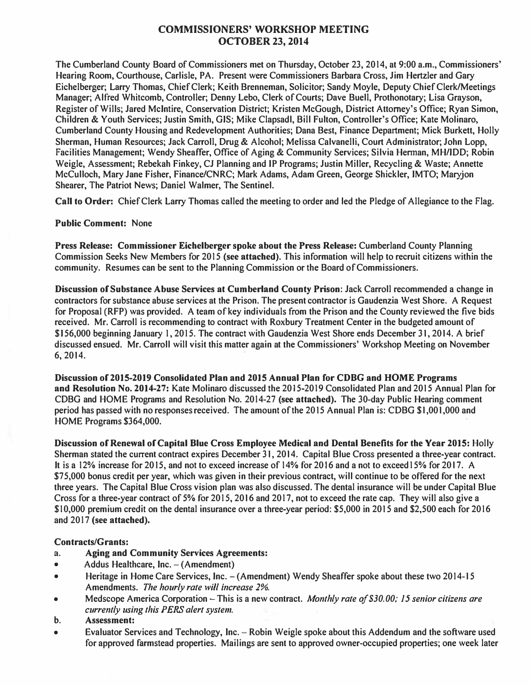# **COMMISSIONERS' WORKSHOP MEETING OCTOBER 23, 2014**

The Cumberland County Board of Commissioners met on Thursday, October 23, 2014, at 9:00 a.m., Commissioners' Hearing Room, Courthouse, Carlisle, PA. Present were Commissioners Barbara Cross, Jim Hertzler and Gary Eichelberger; Larry Thomas, Chief Clerk; Keith Brenneman, Solicitor; Sandy Moyle, Deputy Chief Clerk/Meetings Manager; Alfred Whitcomb, Controller; Denny Lebo, Clerk of Courts; Dave Buell, Prothonotary; Lisa Grayson, Register of Wills; Jared McIntire, Conservation District; Kristen McGough, District Attorney's Office; Ryan Simon, Children & Youth Services; Justin Smith, GIS; Mike Clapsadl, Bill Fulton, Controller's Office; Kate Molinaro, Cumberland County Housing and Redevelopment Authorities; Dana Best, Finance Department; Mick Burkett, Holly Sherman, Human Resources; Jack Carroll, Drug & Alcohol; Melissa Calvanelli, Court Administrator; John Lopp, Facilities Management; Wendy Sheaffer, Office of Aging & Community Services; Silvia Hennan, MH/IDD; Robin Weigle, Assessment; Rebekah Finkey, CJ Planning and IP Programs; Justin Miller, Recycling & Waste; Annette McCulloch, Mary Jane Fisher, Finance/CNRC; Mark Adams, Adam Green, George Shickler, IMTO; Maryjon Shearer, The Patriot News; Daniel Walmer, The Sentinel.

**Call to Order:** Chief Clerk Larry Thomas called the meeting to order and led the Pledge of Allegiance to the Flag.

#### **Public Comment:** None

**Press Release: Commissioner Eichelberger spoke about the Press Release:** Cumberland County Planning Commission Seeks New Members for 2015 **(see attached).** This information will help to recruit citizens within the community. Resumes can be sent to the Planning Commission or the Board of Commissioners.

**Discussion of Substance Abuse Services at Cumberland County Prison:** Jack Carroll recommended a change in contractors for substance abuse services at the Prison. The present contractor is Gaudenzia West Shore. A Request for Proposal (RFP) was provided. A team of key individuals from the Prison and the County reviewed the five bids received. Mr. Carroll is recommending to contract with Roxbury Treatment Center in the budgeted amount of \$ I 56,000 beginning January 1, 2015. The contract with Gaudenzia West Shore ends December 31, 2014. A brief discussed ensued. Mr. Carroll will visit this matter again at the Commissioners' Workshop Meeting on November 6, 2014.

**Discussion of2015-2019 Consolidated Plan and 2015 Annual Plan for CDBG and HOME Programs and Resolution No. 2014-27:** Kate Molinaro discussed the 2015-2019 Consolidated Plan and 20 I 5 Annual Plan for CDBG and HOME Programs and Resolution No. 2014-27 **(see attached).** The 30-day Public Hearing comment period has passed with no responses received. The amount of the 2015 Annual Plan is: CDBG \$1,001,000 and HOME Programs \$364,000.

**Discussion of Renewal of Capital Blue Cross Employee Medical and Dental Benefits for the Year 2015:** Holly Sherman stated the current contract expires December 31, 2014. Capital Blue Cross presented a three-year contract. It is a 12% increase for 2015, and not to exceed increase of 14% for 2016 and a not to exceed 15% for 2017. A \$75,000 bonus credit per year, which was given in their previous contract, will continue to be offered for the next three years. The Capital Blue Cross vision plan was also discussed. The dental insurance will be under Capital Blue Cross for a three-year contract of 5% for 2015, 2016 and 2017, not to exceed the rate cap. They will also give a \$10,000 premium credit on the dental insurance over a three-year period: \$5,000 in 20 I 5 and \$2,500 each for 2016 and 2017 **(see attached).** 

#### **Contracts/Grants:**

- **a. Aging and Community Services Agreements:**
- Addus Healthcare, Inc. (Amendment)
- Heritage in Home Care Services, Inc. -(Amendment) Wendy Sheaffer spoke about these two 2014-15 Amendments. *The hourly rate will increase 2%.*
- Medscope America Corporation This is a new contract. *Monthly rate of \$30.00; 15 senior citizens are currently using this PERS alert system.*
- **b. Assessment:**
- Evaluator Services and Technology, Inc. Robin Weigle spoke about this Addendum and the software used for approved farmstead properties. Mailings are sent to approved owner-occupied properties; one week later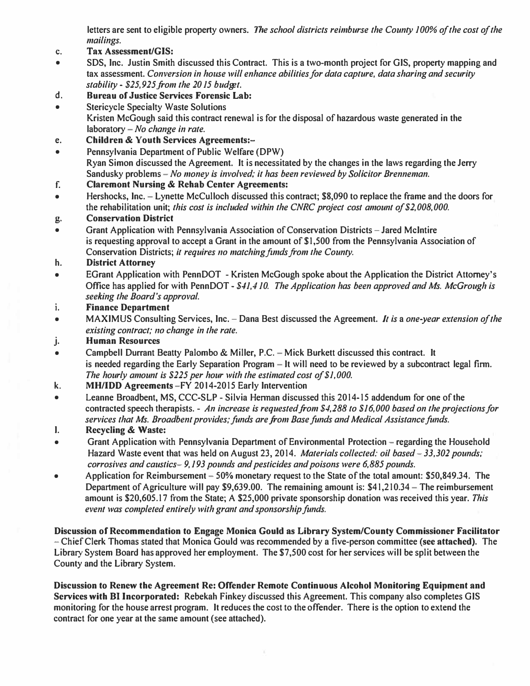letters are sent to eligible property owners. *The school districts reimburse the County JOO% of the cost of the mailing s.* 

- *c.* **Tax Assessment/GIS:**
- SDS, Inc. Justin Smith discussed this Contract. This is a two-month project for GIS, property mapping and tax assessment. *Conversion in house will enhance abilities for data capture, data sharing and security stability - \$25,925.from the 2015 budget.*
- *d.* **Bureau of Justice Services Forensic Lab:**
- Stericycle Specialty Waste Solutions Kristen McGough said this contract renewal is for the disposal of hazardous waste generated in the laboratory - *No change in rate*.
- e. **Children** *&* **Youth Services Agreements:-**
- Pennsylvania Department of Public Welfare (DPW) Ryan Simon discussed the Agreement. It is necessitated by the changes in the laws regarding the Jerry Sandusky problems - *No money is involved; it has been reviewed by Solicitor Brenneman.*
- **f. Claremont Nursing** *&* **Rehab Center Agreements:**
- Hershocks, Inc. -Lynette McCulloch discussed this contract; \$8,090 to replace the frame and the doors for the rehabilitation unit; *this cost is included within the CNRC project cost amount of \$2,008,000.*

## *g.* **Conservation District**

• Grant Application with Pennsylvania Association of Conservation Districts – Jared McIntire is requesting approval to accept a Grant in the amount of \$1,500 from the Pennsylvania Association of Conservation Districts; *it requires 110 matching fimds from 1he County.* 

## **h. District Attorney**

- EGrant Application with PennDOT Kristen McGough spoke about the Application the District Attorney's Office has applied for with PennDOT - *\$41,410. The Application has been approved and Ms. McGrough is seeking the Board's approval.*
- **i. Finance Department**
- MAXIMUS Consulting Services, Inc. Dana Best discussed the Agreement. *It is a one-year extension of the existing contract; no change in the rate.*
- j. **Human Resources**
- Campbell Durrant Beatty Palombo *&* Miller, P.C. -Mick Burkett discussed this contract. It is needed regarding the Early Separation Program  $-1$  will need to be reviewed by a subcontract legal firm. *The hourly amount is \$225 per hour with the eslimated cost of\$J,OOO.*
- k. **MH/1D D Agreements** -FY 2014-2015 Early Intervention
- Leanne Broadbent, MS, CCC-SLP Silvia Herman discussed this 2014-15 addendum for one of the contracted speech therapists. - *An increase is requested.from \$4,288 to \$16,000 based on the projections for*  services that Ms. Broadbent provides; funds are from Base funds and Medical Assistance funds.
- I. **Recycling** & **Waste:**
- Grant Application with Pennsylvania Department of Environmental Protection regarding the Household Hazard Waste event that was held on August 23, 2014. *Materials collected: oil based-33,302 pounds; corrosives and caustics- 9,193 pounds and pesticides and poisons were 6,885 pounds.*
- Application for Reimbursement 50% monetary request to the State of the total amount: \$50,849.34. The Department of Agriculture will pay \$9,639.00. The remaining amount is:  $$41,210.34 - The$  reimbursement amount is \$20,605.17 from the State; A \$25,000 private sponsorship donation was received this year. *This*  event was completed entirely with grant and sponsorship funds.

**Discussion of Recommendation to Engage Monica Gould as Library System/County Commissioner Facilitator**  - Chief Clerk Thomas stated that Monica Gould was recommended by a five-person committee **(see attached).** The Library System Board has approved her employment. The \$7,500 cost for her services will be split between the County and the Library System.

**Discussion to Renew the Agreement Re: Offender Remote Continuous Alcohol Monitoring Equipment and Services with** Bl **Incorporated:** Rebekah Finkey discussed this Agreement. This company also completes GIS monitoring for the house arrest program. It reduces the cost to the offender. There is the option to extend the contract for one year at the same amount (see attached).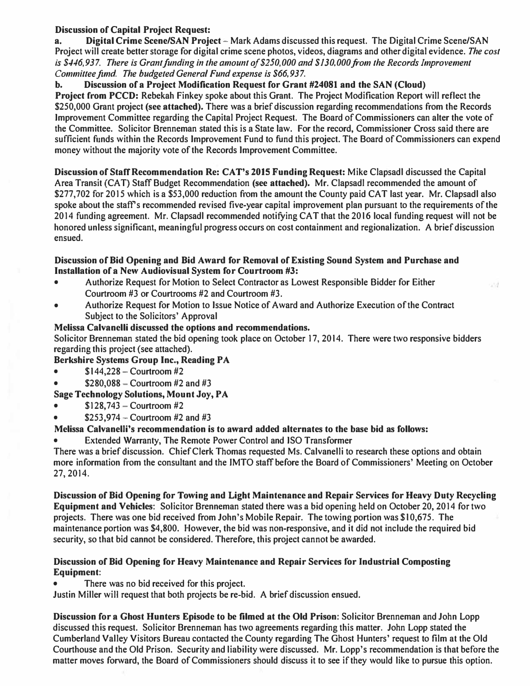## **Discussion of Capital Project Request:**

**a. Digital Crime Scene/SAN Project** - Mark Adams discussed this request. The Digital Crime Scene/SAN Project will create better storage for digital crime scene photos, videos, diagrams and other digital evidence. *The cost*  is \$446,937. There is Grant funding in the amount of \$250,000 and \$130,000 from the Records Improvement *Committee fund. The budgeted General Fund expense is \$66,937.* 

**b. Discussion of a Project Modification Request for Grant #24081 and the SAN (Cloud) Project from PCCD:** Rebekah Finkey spoke about this Grant. The Project Modification Report will reflect the \$250,000 Grant project **(see attached).** There was a brief discussion regarding recommendations from the Records Improvement Committee regarding the Capital Project Request. The Board of Commissioners can alter the vote of the Committee. Solicitor Brenneman stated this is a State law. For the record, Commissioner Cross said there are sufficient funds within the Records Improvement Fund to fund this project. The Board of Commissioners can expend money without the majority vote of the Records Improvement Committee.

**Discussion of Staff Recommendation Re: CA T's 2015 Funding Request:** Mike Clapsadl discussed the Capital Area Transit (CAT) Staff Budget Recommendation **(see attached).** Mr. Clapsadl recommended the amount of \$277,702 for 2015 which is a \$53,000 reduction from the amount the County paid CAT last year. Mr. Clapsadl also spoke about the staff's recommended revised five-year capital improvement plan pursuant to the requirements of the 2014 funding agreement. Mr. Clapsadl recommended notifying CAT that the 2016 local funding request will not be honored unless significant, meaningful progress occurs on cost containment and regionalization. A brief discussion ensued.

 $-1$ 

#### **Discussion of Bid Opening and Bid Award for Removal of Existing Sound System and Purchase and Installation of a New Audiovisual System for Courtroom #3:**

- Authorize Request for Motion to Select Contractor as Lowest Responsible Bidder for Either Courtroom #3 or Courtrooms #2 and Courtroom #3.
- Authorize Request for Motion to Issue Notice of Award and Authorize Execution of the Contract Subject to the Solicitors' Approval

## **Melissa Calvanelli discussed the options and recommendations.**

Solicitor Brenneman stated the bid opening took place on October 17, 2014. There were two responsive bidders regarding this project (see attached).

## **Berkshire Systems Group Inc., Reading PA**

- $$144,228 -$  Courtroom #2
- $$280,088 -$  Courtroom #2 and #3

# **Sage Technology Solutions, Mount Joy, PA**

- $$128,743 -$ Courtroom #2
- \$253,974 Courtroom  $#2$  and  $#3$

## **Melissa Calvanelli's recommendation is to award added alternates to the base bid as follows:**

• Extended Warranty, The Remote Power Control and ISO Transformer

There was a brief discussion. Chief Clerk Thomas requested Ms. Calvanelli to research these options and obtain more information from the consultant and the JMTO staff before the Board of Commissioners' Meeting on October 27, 2014.

**Discussion of Bid Opening for Towing and Light Maintenance and Repair Services for Heavy Duty Recycling Equipment and Vehicles:** Solicitor Brenneman stated there was a bid opening held on October 20, 2014 for two projects. There was one bid received from John's Mobile Repair. The towing portion was \$10,675. The maintenance portion was \$4,800. However, the bid was non-responsive, and it did not include the required bid security, so that bid cannot be considered. Therefore, this project cannot be awarded.

#### **Discussion of Bid Opening for Heavy Maintenance and Repair Services for Industrial Composting Equipment:**

There was no bid received for this project.

Justin Miller will request that both projects be re-bid. A brief discussion ensued.

**Discussion for a Ghost Hunters Episode to be filmed at the Old Prison:** Solicitor Brenneman and John Lopp discussed this request. Solicitor Brenneman has two agreements regarding this matter. John Lopp stated the Cumberland Valley Visitors Bureau contacted the County regarding The Ghost Hunters' request to film at the Old Courthouse and the Old Prison. Security and liability were discussed. Mr. Lopp's recommendation is that before the matter moves forward, the Board of Commissioners should discuss it to see if they would like to pursue this option.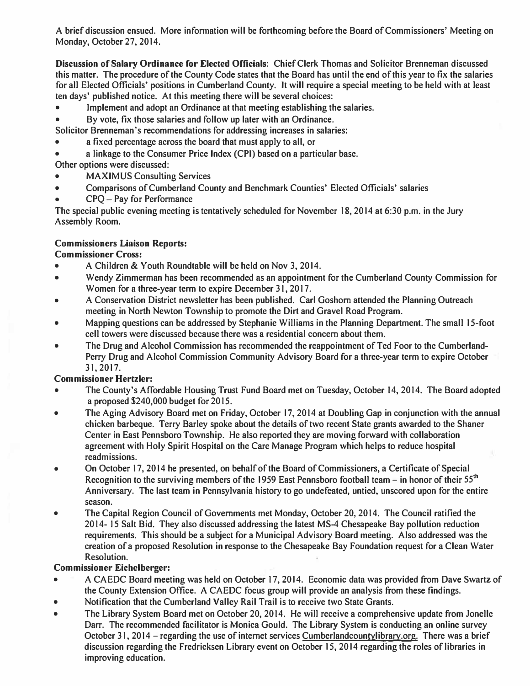A brief discussion ensued. More infonnation will be forthcoming before the Board of Commissioners' Meeting on Monday, October 27, 2014.

*Discussion of Salary Ordinance for Elected Officials:* Chief Clerk Thomas and Solicitor Brenneman discussed this matter. The procedure of the County Code states that the Board has until the end of this year to fix the salaries for all Elected Officials' positions in Cumberland County. It will require a special meeting to be held with at least ten days' published notice. At this meeting there will be several choices:

- Implement and adopt an Ordinance at that meeting establishing the salaries.
- By vote, fix those salaries and follow up later with an Ordinance.

Solicitor Brenneman's recommendations for addressing increases in salaries:

- a fixed percentage across the board that must apply to all, or
- a linkage to the Consumer Price Index (CPI) based on a particular base.

Other options were discussed:

- MAXIMUS Consulting Services
- Comparisons of Cumberland County and Benchmark Counties' Elected Officials' salaries CPQ Pay for Performance
- 

The special public evening meeting is tentatively scheduled for November 18, 2014 at 6:30 p.m. in the Jury Assembly Room.

## *Commissioners Liaison Reports:*

*Commissioner Cross:* 

- A Children & Youth Roundtable will be held on Nov 3, 2014.
- Wendy Zimmerman has been recommended as an appointment for the Cumberland County Commission for Women for a three-year term to expire December 31, 2017.
- A Conservation District newsletter has been published. Carl Goshorn attended the Planning Outreach meeting in North Newton Township to promote the Dirt and Gravel Road Program.
- Mapping questions can be addressed by Stephanie Williams in the Planning Department. The small 15-foot cell towers were discussed because there was a residential concern about them.
- The Drug and Alcohol Commission has recommended the reappointment of Ted Foor to the Cumberland-Perry Drug and Alcohol Commission Community Advisory Board for a three-year term to expire October 31, 2017.

# *Commissioner Hertzler:*

- The County's Affordable Housing Trust Fund Board met on Tuesday, October 14, 2014. The Board adopted a proposed \$240,000 budget for 2015.
- The Aging Advisory Board met on Friday, October 17, 2014 at Doubling Gap in conjunction with the annual chicken barbeque. Terry Barley spoke about the details of two recent State grants awarded to the Shaner Center in East Pennsboro Township. He also reported they are moving forward with collaboration agreement with Holy Spirit Hospital on the Care Manage Program which helps to reduce hospital readmissions.
- On October 17, 2014 he presented, on behalf of the Board of Commissioners, a Certificate of Special Recognition to the surviving members of the 1959 East Pennsboro football team - in honor of their 55**th**  Anniversary. The last team in Pennsylvania history to go undefeated, untied, unscored upon for the entire season.
- The Capital Region Council of Governments met Monday, October 20, 2014. The Council ratified the 2014- 15 Salt Bid. They also discussed addressing the latest MS-4 Chesapeake Bay pollution reduction requirements. This should be a subject for a Municipal Advisory Board meeting. Also addressed was the creation of a proposed Resolution in response to the Chesapeake Bay Foundation request for a Clean Water Resolution.

## *Commissioner Eichelberger:*

- A CAEDC Board meeting was held on October 17, 2014. Economic data was provided from Dave Swartz of the County Extension Office. A CAEDC focus group will provide an analysis from these findings.
- Notification that the Cumberland Valley Rail Trail is to receive two State Grants.
- The Library System Board met on October 20, 2014. He will receive a comprehensive update from Jonelle Darr. The recommended facilitator is Monica Gould. The Library System is conducting an online survey October 31, 2014 – regarding the use of internet services Cumberlandcountylibrary.org. There was a brief discussion regarding the Fredricksen Library event on October 15, 2014 regarding the roles of libraries in improving education.